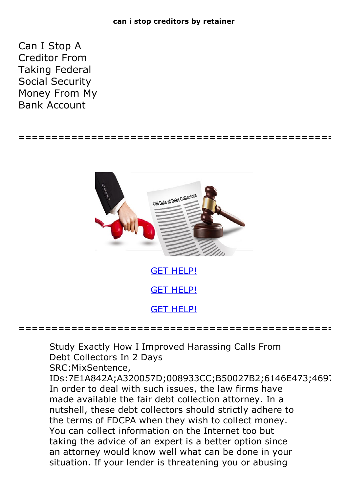Can I Stop A Creditor From Taking Federal Social Security Money From My Bank Account

## Call Data of Debt Collectors GET [HELP!](https://runpdf.xyz/pdf)

**================================================**

GET [HELP!](https://runpdf.xyz/pdf)

**================================================**

GET [HELP!](https://runpdf.xyz/pdf)

Study Exactly How I Improved Harassing Calls From Debt Collectors In 2 Days SRC:MixSentence, IDs:7E1A842A;A320057D;008933CC;B50027B2;6146E473;469; In order to deal with such issues, the law firms have made available the fair debt collection attorney. In a nutshell, these debt collectors should strictly adhere to the terms of FDCPA when they wish to collect money. You can collect information on the Internet too but taking the advice of an expert is a better option since an attorney would know well what can be done in your situation. If your lender is threatening you or abusing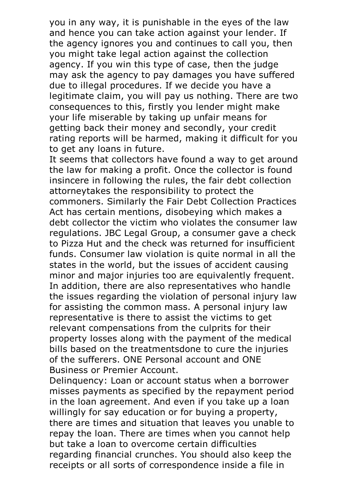you in any way, it is punishable in the eyes of the law and hence you can take action against your lender. If the agency ignores you and continues to call you, then you might take legal action against the collection agency. If you win this type of case, then the judge may ask the agency to pay damages you have suffered due to illegal procedures. If we decide you have a legitimate claim, you will pay us nothing. There are two consequences to this, firstly you lender might make your life miserable by taking up unfair means for getting back their money and secondly, your credit rating reports will be harmed, making it difficult for you to get any loans in future.

It seems that collectors have found a way to get around the law for making a profit. Once the collector is found insincere in following the rules, the fair debt collection attorneytakes the responsibility to protect the commoners. Similarly the Fair Debt Collection Practices Act has certain mentions, disobeying which makes a debt collector the victim who violates the consumer law regulations. JBC Legal Group, a consumer gave a check to Pizza Hut and the check was returned for insufficient funds. Consumer law violation is quite normal in all the states in the world, but the issues of accident causing minor and major injuries too are equivalently frequent. In addition, there are also representatives who handle the issues regarding the violation of personal injury law for assisting the common mass. A personal injury law representative is there to assist the victims to get relevant compensations from the culprits for their property losses along with the payment of the medical bills based on the treatmentsdone to cure the injuries of the sufferers. ONE Personal account and ONE Business or Premier Account. Delinquency: Loan or account status when <sup>a</sup> borrower

misses payments as specified by the repayment period in the loan agreement. And even if you take up a loan willingly for say education or for buying a property, there are times and situation that leaves you unable to repay the loan. There are times when you cannot help but take a loan to overcome certain difficulties regarding financial crunches. You should also keep the receipts or all sorts of correspondence inside a file in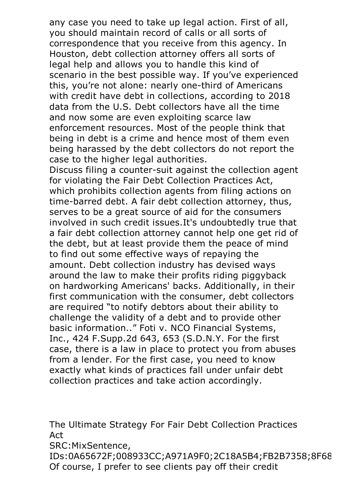any case you need to take up legal action. First of all, you should maintain record of calls or all sorts of correspondence that you receive from this agency. In Houston, debt collection attorney offers all sorts of legal help and allows you to handle this kind of scenario in the best possible way. If you've experienced this, you're not alone: nearly one-third of Americans with credit have debt in collections, according to 2018 data from the U.S. Debt collectors have all the time and now some are even exploiting scarce law enforcement resources. Most of the people think that being in debt is a crime and hence most of them even being harassed by the debt collectors do not report the case to the higher legal authorities. Discuss filing <sup>a</sup> counter-suit against the collection agent

for violating the Fair Debt Collection Practices Act, which prohibits collection agents from filing actions on time-barred debt. A fair debt collection attorney, thus, serves to be a great source of aid for the consumers involved in such credit issues.It's undoubtedly true that a fair debt collection attorney cannot help one get rid of the debt, but at least provide them the peace of mind to find out some effective ways of repaying the amount. Debt collection industry has devised ways around the law to make their profits riding piggyback on hardworking Americans' backs. Additionally, in their first communication with the consumer, debt collectors are required "to notify debtors about their ability to challenge the validity of a debt and to provide other basic information.." Foti v. NCO Financial Systems, Inc., 424 F.Supp.2d 643, 653 (S.D.N.Y. For the first case, there is a law in place to protect you from abuses from a lender. For the first case, you need to know exactly what kinds of practices fall under unfair debt collection practices and take action accordingly.

The Ultimate Strategy For Fair Debt Collection Practices Act SRC:MixSentence,

IDs:0A65672F;008933CC;A971A9F0;2C18A5B4;FB2B7358;8F68 Of course, I prefer to see clients pay off their credit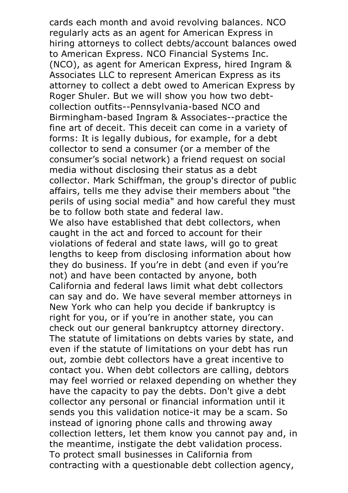cards each month and avoid revolving balances. NCO regularly acts as an agent for American Express in hiring attorneys to collect debts/account balances owed to American Express. NCO Financial Systems Inc. (NCO), as agent for American Express, hired Ingram & Associates LLC to represent American Express as its attorney to collect a debt owed to American Express by Roger Shuler. But we will show you how two debtcollection outfits--Pennsylvania-based NCO and Birmingham-based Ingram & Associates--practice the fine art of deceit. This deceit can come in a variety of forms: It is legally dubious, for example, for a debt collector to send a consumer (or a member of the consumer's social network) a friend request on social media without disclosing their status as a debt collector. Mark Schiffman, the group's director of public affairs, tells me they advise their members about "the perils of using social media" and how careful they must be to follow both state and federal law.<br>We also have established that debt collectors, when caught in the act and forced to account for their violations of federal and state laws, will go to great lengths to keep from disclosing information about how they do business. If you're in debt (and even if you're not) and have been contacted by anyone, both California and federal laws limit what debt collectors can say and do. We have several member attorneys in New York who can help you decide if bankruptcy is right for you, or if you're in another state, you can check out our general bankruptcy attorney directory. The statute of limitations on debts varies by state, and even if the statute of limitations on your debt has run out, zombie debt collectors have a great incentive to contact you. When debt collectors are calling, debtors may feel worried or relaxed depending on whether they have the capacity to pay the debts. Don't give a debt collector any personal or financial information until it sends you this validation notice-it may be a scam. So instead of ignoring phone calls and throwing away collection letters, let them know you cannot pay and, in the meantime, instigate the debt validation process. To protect small businesses in California from contracting with a questionable debt collection agency,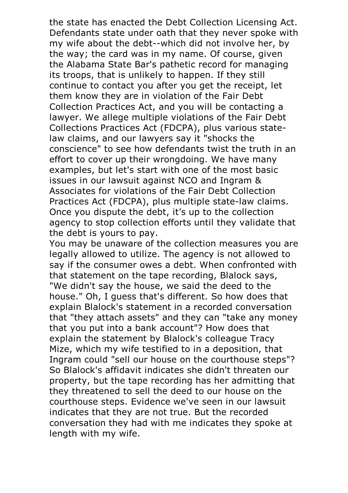the state has enacted the Debt Collection Licensing Act. Defendants state under oath that they never spoke with my wife about the debt--which did not involve her, by the way; the card was in my name. Of course, given the Alabama State Bar's pathetic record for managing its troops, that is unlikely to happen. If they still continue to contact you after you get the receipt, let them know they are in violation of the Fair Debt Collection Practices Act, and you will be contacting a lawyer. We allege multiple violations of the Fair Debt Collections Practices Act (FDCPA), plus various statelaw claims, and our lawyers say it "shocks the conscience" to see how defendants twist the truth in an effort to cover up their wrongdoing. We have many examples, but let's start with one of the most basic issues in our lawsuit against NCO and Ingram & Associates for violations of the Fair Debt Collection Practices Act (FDCPA), plus multiple state-law claims. Once you dispute the debt, it's up to the collection agency to stop collection efforts until they validate that

the debt is yours to pay. You may be unaware of the collection measures you are legally allowed to utilize. The agency is not allowed to say if the consumer owes a debt. When confronted with that statement on the tape recording, Blalock says, "We didn't say the house, we said the deed to the house." Oh, I guess that's different. So how does that explain Blalock's statement in a recorded conversation that "they attach assets" and they can "take any money that you put into a bank account"? How does that explain the statement by Blalock's colleague Tracy Mize, which my wife testified to in a deposition, that Ingram could "sell our house on the courthouse steps"? So Blalock's affidavit indicates she didn't threaten our property, but the tape recording has her admitting that they threatened to sell the deed to our house on the courthouse steps. Evidence we've seen in our lawsuit indicates that they are not true. But the recorded conversation they had with me indicates they spoke at length with my wife.